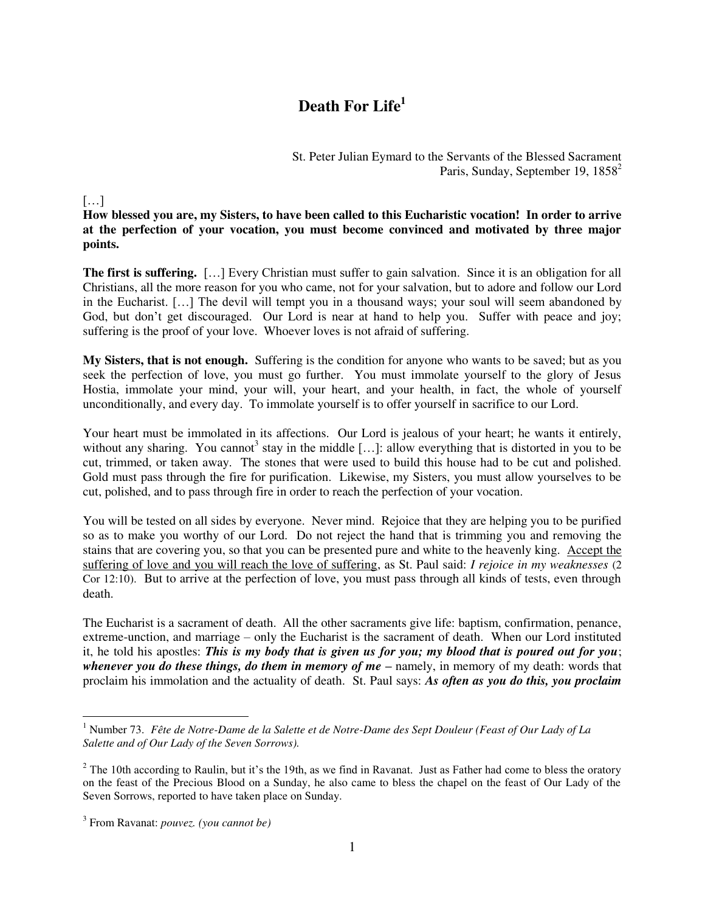## **Death For Life<sup>1</sup>**

St. Peter Julian Eymard to the Servants of the Blessed Sacrament Paris, Sunday, September 19, 1858<sup>2</sup>

## $\left[\ldots\right]$

**How blessed you are, my Sisters, to have been called to this Eucharistic vocation! In order to arrive at the perfection of your vocation, you must become convinced and motivated by three major points.** 

**The first is suffering.** […] Every Christian must suffer to gain salvation. Since it is an obligation for all Christians, all the more reason for you who came, not for your salvation, but to adore and follow our Lord in the Eucharist. […] The devil will tempt you in a thousand ways; your soul will seem abandoned by God, but don't get discouraged. Our Lord is near at hand to help you. Suffer with peace and joy; suffering is the proof of your love. Whoever loves is not afraid of suffering.

**My Sisters, that is not enough.** Suffering is the condition for anyone who wants to be saved; but as you seek the perfection of love, you must go further. You must immolate yourself to the glory of Jesus Hostia, immolate your mind, your will, your heart, and your health, in fact, the whole of yourself unconditionally, and every day. To immolate yourself is to offer yourself in sacrifice to our Lord.

Your heart must be immolated in its affections. Our Lord is jealous of your heart; he wants it entirely, without any sharing. You cannot<sup>3</sup> stay in the middle [...]: allow everything that is distorted in you to be cut, trimmed, or taken away. The stones that were used to build this house had to be cut and polished. Gold must pass through the fire for purification. Likewise, my Sisters, you must allow yourselves to be cut, polished, and to pass through fire in order to reach the perfection of your vocation.

You will be tested on all sides by everyone. Never mind. Rejoice that they are helping you to be purified so as to make you worthy of our Lord. Do not reject the hand that is trimming you and removing the stains that are covering you, so that you can be presented pure and white to the heavenly king. Accept the suffering of love and you will reach the love of suffering, as St. Paul said: *I rejoice in my weaknesses* (2 Cor 12:10). But to arrive at the perfection of love, you must pass through all kinds of tests, even through death.

The Eucharist is a sacrament of death. All the other sacraments give life: baptism, confirmation, penance, extreme-unction, and marriage – only the Eucharist is the sacrament of death. When our Lord instituted it, he told his apostles: *This is my body that is given us for you; my blood that is poured out for you*; *whenever you do these things, do them in memory of me –* namely, in memory of my death: words that proclaim his immolation and the actuality of death. St. Paul says: *As often as you do this, you proclaim* 

 1 Number 73. *Fête de Notre-Dame de la Salette et de Notre-Dame des Sept Douleur (Feast of Our Lady of La Salette and of Our Lady of the Seven Sorrows).* 

 $2$  The 10th according to Raulin, but it's the 19th, as we find in Ravanat. Just as Father had come to bless the oratory on the feast of the Precious Blood on a Sunday, he also came to bless the chapel on the feast of Our Lady of the Seven Sorrows, reported to have taken place on Sunday.

<sup>3</sup> From Ravanat: *pouvez. (you cannot be)*